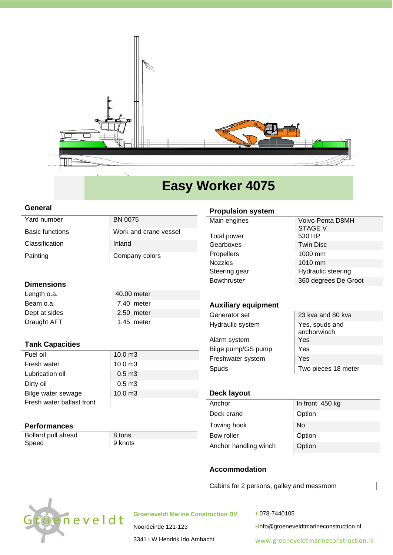

# **Easy Worker 4075**

#### **General**

| BN 0075               |
|-----------------------|
| Work and crane vessel |
| Inland                |
| Company colors        |
|                       |

## **Dimensions**

| Length o.a.   | 40.00 meter |
|---------------|-------------|
| Beam o.a.     | 7.40 meter  |
| Dept at sides | 2.50 meter  |
| Draught AFT   | 1.45 meter  |

## **Tank Capacities**

| Fuel oil                  | $10.0 \text{ m}$ 3 |
|---------------------------|--------------------|
| Fresh water               | $10.0 \text{ m}$ 3 |
| Lubrication oil           | $0.5 \text{ m}$ 3  |
| Dirty oil                 | $0.5 \text{ m}$ 3  |
| Bilge water sewage        | $10.0 \text{ m}$ 3 |
| Fresh water ballast front |                    |

## **Performances**

Bollard pull ahead 8 tons Speed 9 knots

## **Propulsion system**

| Main engines      | Volvo Penta D8MH<br><b>STAGE V</b> |
|-------------------|------------------------------------|
| Total power       | 530 HP                             |
| Gearboxes         | <b>Twin Disc</b>                   |
| <b>Propellers</b> | 1000 mm                            |
| <b>Nozzles</b>    | 1010 mm                            |
| Steering gear     | Hydraulic steering                 |
| Bowthruster       | 360 degrees De Groot               |
|                   |                                    |

# **Auxiliary equipment**

| Generator set      | 23 kva and 80 kva             |
|--------------------|-------------------------------|
| Hydraulic system   | Yes, spuds and<br>anchorwinch |
| Alarm system       | Yes                           |
| Bilge pump/GS pump | Yes                           |
| Freshwater system  | Yes                           |
| Spuds              | Two pieces 18 meter           |
|                    |                               |

# **Deck layout**

| In front 450 kg |
|-----------------|
| Option          |
| <b>No</b>       |
| Option          |
| Option          |
|                 |

## **Accommodation**

Cabins for 2 persons, galley and messroom



**Groeneveldt Marine Construction BV**

**T** 078-7440105

**E**info@groeneveldtmarineconstruction.nl

3341 LW Hendrik Ido Ambacht

[www.groeneveldtmarineconstruction.nl](http://www.groeneveldtmarineconstruction.nl/)